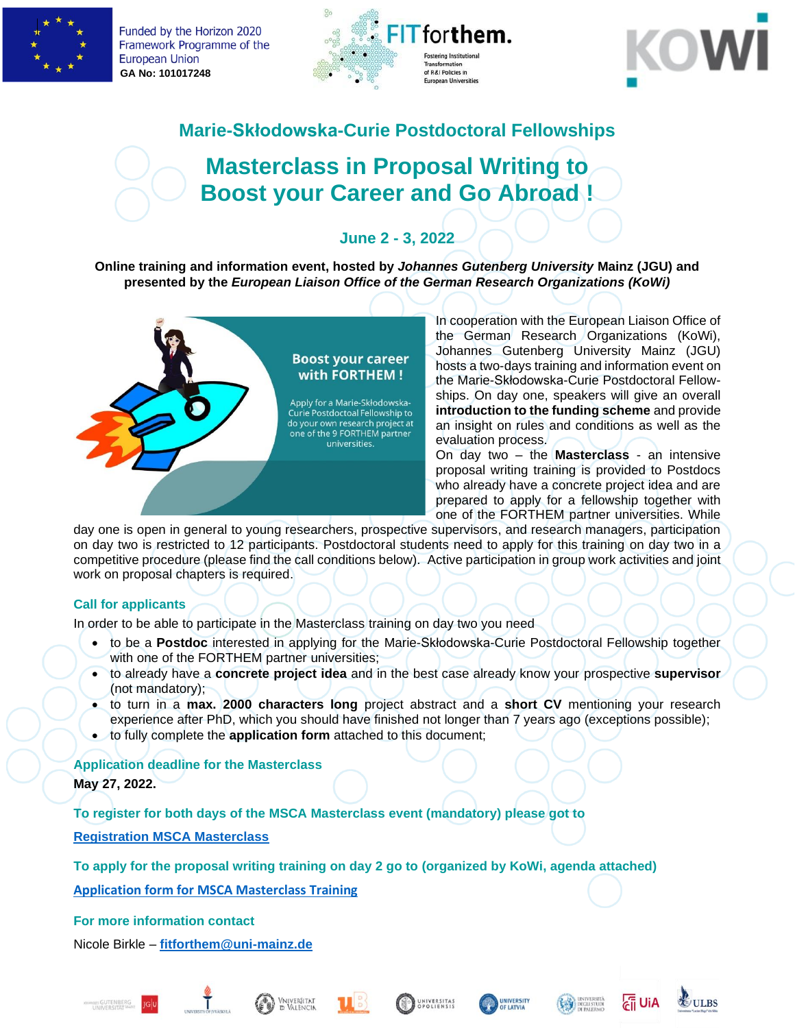

Funded by the Horizon 2020 Framework Programme of the **European Union GA No: 101017248**





## **Marie-Skłodowska-Curie Postdoctoral Fellowships**

# **Masterclass in Proposal Writing to Boost your Career and Go Abroad !**

## **June 2 - 3, 2022**

**Online training and information event, hosted by** *Johannes Gutenberg University* **Mainz (JGU) and presented by the** *European Liaison Office of the German Research Organizations (KoWi)*



In cooperation with the European Liaison Office of the German Research Organizations (KoWi), Johannes Gutenberg University Mainz (JGU) hosts a two-days training and information event on the Marie-Skłodowska-Curie Postdoctoral Fellowships. On day one, speakers will give an overall **introduction to the funding scheme** and provide an insight on rules and conditions as well as the evaluation process.

On day two – the **Masterclass** - an intensive proposal writing training is provided to Postdocs who already have a concrete project idea and are prepared to apply for a fellowship together with one of the FORTHEM partner universities. While

day one is open in general to young researchers, prospective supervisors, and research managers, participation on day two is restricted to 12 participants. Postdoctoral students need to apply for this training on day two in a competitive procedure (please find the call conditions below). Active participation in group work activities and joint work on proposal chapters is required.

#### **Call for applicants**

In order to be able to participate in the Masterclass training on day two you need

- to be a **Postdoc** interested in applying for the Marie-Skłodowska-Curie Postdoctoral Fellowship together with one of the FORTHEM partner universities;
- to already have a **concrete project idea** and in the best case already know your prospective **supervisor** (not mandatory);
- to turn in a **max. 2000 characters long** project abstract and a **short CV** mentioning your research experience after PhD, which you should have finished not longer than 7 years ago (exceptions possible);
- to fully complete the **application form** attached to this document;

### **Application deadline for the Masterclass May 27, 2022.**

**To register for both days of the MSCA Masterclass event (mandatory) please got to** 

**[Registration MSCA Masterclass](https://forschung.uni-mainz.de/?page_id=14913&preview=true)**

**To apply for the proposal writing training on day 2 (organized by KoWi, agenda attached) go to** 

**[Application form for MSCA Masterclass Training](https://forms.office.com/r/49Bw3GCNbH)**

**For more information contact**

Nicole Birkle – **[fitforthem@uni-mainz.de](mailto:fitforthem@uni-mainz.de)**